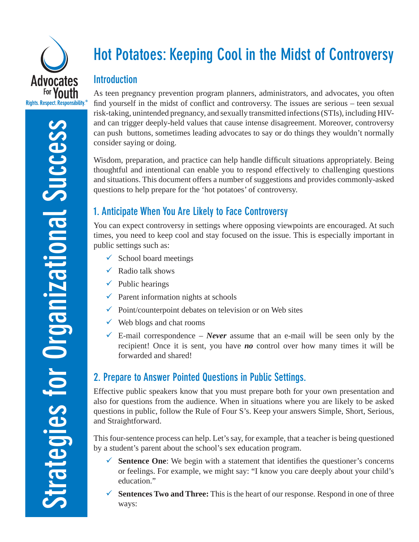

# **Hot Potatoes: Keeping Cool in the Midst of Controversy**

#### **Introduction**

As teen pregnancy prevention program planners, administrators, and advocates, you often find yourself in the midst of conflict and controversy. The issues are serious – teen sexual risk-taking, unintended pregnancy, and sexually transmitted infections (STIs), including HIVand can trigger deeply-held values that cause intense disagreement. Moreover, controversy can push buttons, sometimes leading advocates to say or do things they wouldn't normally consider saying or doing.

Wisdom, preparation, and practice can help handle difficult situations appropriately. Being thoughtful and intentional can enable you to respond effectively to challenging questions and situations. This document offers a number of suggestions and provides commonly-asked questions to help prepare for the 'hot potatoes' of controversy.

# **1. Anticipate When You Are Likely to Face Controversy**

You can expect controversy in settings where opposing viewpoints are encouraged. At such times, you need to keep cool and stay focused on the issue. This is especially important in public settings such as:

- $\checkmark$  School board meetings
- $\checkmark$  Radio talk shows
- $\checkmark$  Public hearings
- $\checkmark$  Parent information nights at schools
- $\checkmark$  Point/counterpoint debates on television or on Web sites
- $\checkmark$  Web blogs and chat rooms
- $\checkmark$  E-mail correspondence *Never* assume that an e-mail will be seen only by the recipient! Once it is sent, you have *no* control over how many times it will be forwarded and shared!

# **2. Prepare to Answer Pointed Questions in Public Settings.**

Effective public speakers know that you must prepare both for your own presentation and also for questions from the audience. When in situations where you are likely to be asked questions in public, follow the Rule of Four S's. Keep your answers Simple, Short, Serious, and Straightforward.

This four-sentence process can help. Let's say, for example, that a teacher is being questioned by a student's parent about the school's sex education program.

- $\checkmark$  **Sentence One**: We begin with a statement that identifies the questioner's concerns or feelings. For example, we might say: "I know you care deeply about your child's education."
- $\checkmark$  **Sentences Two and Three:** This is the heart of our response. Respond in one of three ways: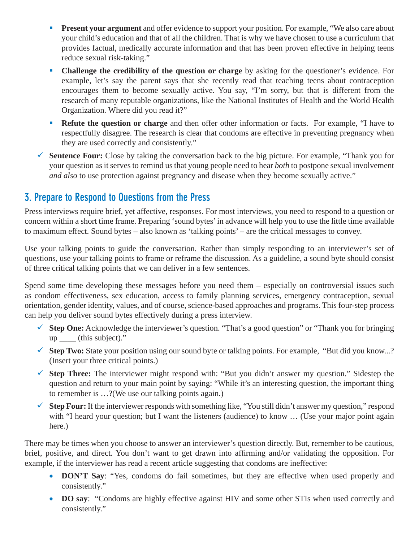- **Present your argument** and offer evidence to support your position. For example, "We also care about your child's education and that of all the children. That is why we have chosen to use a curriculum that provides factual, medically accurate information and that has been proven effective in helping teens reduce sexual risk-taking."
- **Challenge the credibility of the question or charge** by asking for the questioner's evidence. For example, let's say the parent says that she recently read that teaching teens about contraception encourages them to become sexually active. You say, "I'm sorry, but that is different from the research of many reputable organizations, like the National Institutes of Health and the World Health Organization. Where did you read it?"
- **Refute the question or charge** and then offer other information or facts. For example, "I have to respectfully disagree. The research is clear that condoms are effective in preventing pregnancy when they are used correctly and consistently."
- $\checkmark$  **Sentence Four:** Close by taking the conversation back to the big picture. For example, "Thank you for your question as it serves to remind us that young people need to hear *both* to postpone sexual involvement *and also* to use protection against pregnancy and disease when they become sexually active."

### **3. Prepare to Respond to Questions from the Press**

Press interviews require brief, yet affective, responses. For most interviews, you need to respond to a question or concern within a short time frame. Preparing 'sound bytes' in advance will help you to use the little time available to maximum effect. Sound bytes – also known as 'talking points' – are the critical messages to convey.

Use your talking points to guide the conversation. Rather than simply responding to an interviewer's set of questions, use your talking points to frame or reframe the discussion. As a guideline, a sound byte should consist of three critical talking points that we can deliver in a few sentences.

Spend some time developing these messages before you need them – especially on controversial issues such as condom effectiveness, sex education, access to family planning services, emergency contraception, sexual orientation, gender identity, values, and of course, science-based approaches and programs. This four-step process can help you deliver sound bytes effectively during a press interview.

- $\checkmark$  **Step One:** Acknowledge the interviewer's question. "That's a good question" or "Thank you for bringing up \_\_\_\_ (this subject)."
- ◆ **Step Two:** State your position using our sound byte or talking points. For example, "But did you know...? (Insert your three critical points.)
- $\checkmark$  **Step Three:** The interviewer might respond with: "But you didn't answer my question." Sidestep the question and return to your main point by saying: "While it's an interesting question, the important thing to remember is …?(We use our talking points again.)
- $\checkmark$  **Step Four:** If the interviewer responds with something like, "You still didn't answer my question," respond with "I heard your question; but I want the listeners (audience) to know ... (Use your major point again here.)

There may be times when you choose to answer an interviewer's question directly. But, remember to be cautious, brief, positive, and direct. You don't want to get drawn into affirming and/or validating the opposition. For example, if the interviewer has read a recent article suggesting that condoms are ineffective:

- **DON'T Say**: "Yes, condoms do fail sometimes, but they are effective when used properly and consistently."
- **DO say:** "Condoms are highly effective against HIV and some other STIs when used correctly and consistently."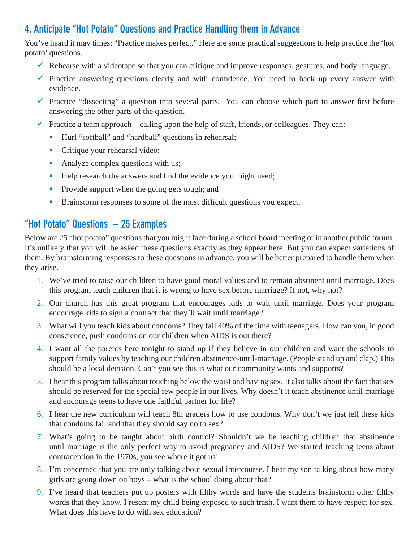# **4. Anticipate "Hot Potato" Questions and Practice Handling them in Advance**

You've heard it may times: "Practice makes perfect." Here are some practical suggestions to help practice the 'hot potato' questions.

- $\checkmark$  Rehearse with a videotape so that you can critique and improve responses, gestures, and body language.
- $\checkmark$  Practice answering questions clearly and with confidence. You need to back up every answer with evidence.
- $\checkmark$  Practice "dissecting" a question into several parts. You can choose which part to answer first before answering the other parts of the question.
- $\checkmark$  Practice a team approach calling upon the help of staff, friends, or colleagues. They can:
	- Hurl "softball" and "hardball" questions in rehearsal;
	- **Critique your rehearsal video;**
	- Analyze complex questions with us;
	- Help research the answers and find the evidence you might need;
	- **Provide support when the going gets tough; and**
	- Brainstorm responses to some of the most difficult questions you expect.

## **"Hot Potato" Questions – 25 Examples**

Below are 25 "hot potato" questions that you might face during a school board meeting or in another public forum. It's unlikely that you will be asked these questions exactly as they appear here. But you can expect variations of them. By brainstorming responses to these questions in advance, you will be better prepared to handle them when they arise.

- 1. We've tried to raise our children to have good moral values and to remain abstinent until marriage. Does this program teach children that it is wrong to have sex before marriage? If not, why not?
- 2. Our church has this great program that encourages kids to wait until marriage. Does your program encourage kids to sign a contract that they'll wait until marriage?
- 3. What will you teach kids about condoms? They fail 40% of the time with teenagers. How can you, in good conscience, push condoms on our children when AIDS is out there?
- 4. I want all the parents here tonight to stand up if they believe in our children and want the schools to support family values by teaching our children abstinence-until-marriage. (People stand up and clap.) This should be a local decision. Can't you see this is what our community wants and supports?
- 5. I hear this program talks about touching below the waist and having sex. It also talks about the fact that sex should be reserved for the special few people in our lives. Why doesn't it teach abstinence until marriage and encourage teens to have one faithful partner for life?
- 6. I hear the new curriculum will teach 8th graders how to use condoms. Why don't we just tell these kids that condoms fail and that they should say no to sex?
- 7. What's going to be taught about birth control? Shouldn't we be teaching children that abstinence until marriage is the only perfect way to avoid pregnancy and AIDS? We started teaching teens about contraception in the 1970s, you see where it got us!
- 8. I'm concerned that you are only talking about sexual intercourse. I hear my son talking about how many girls are going down on boys – what is the school doing about that?
- 9. I've heard that teachers put up posters with filthy words and have the students brainstorm other filthy words that they know. I resent my child being exposed to such trash. I want them to have respect for sex. What does this have to do with sex education?